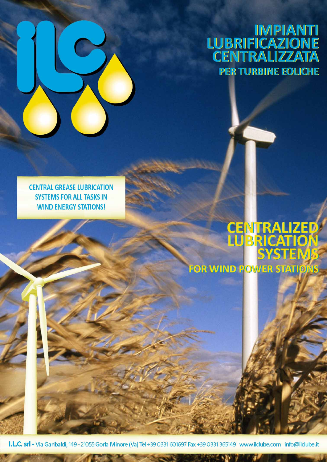

**CENTRAL GREASE LUBRICATION SYSTEMS FOR ALL TASKS IN WIND ENERGY STATIONS!** 

# **CENTRALIZED<br>LUBRICATION<br>SYSTEMS FOR WIND POWER STATIONS**

I.L.C. srl - Via Garibaldi, 149 - 21055 Gorla Minore (Va) Tel +39 0331 601697 Fax +39 0331 365149 www.ilclube.com info@ilclube.it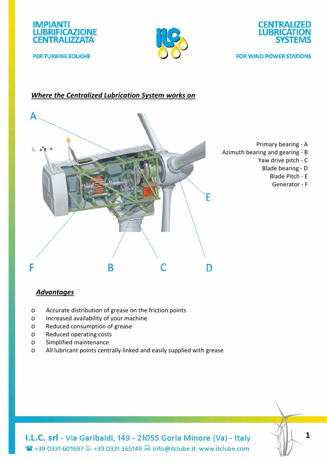

**PER TURBINE EOLICHE** 





**FOR WIND POWER STATIONS** 

# *Where the Centralized Lubrication System works on*



- Primary bearing ‐ A
- Azimuth bearing and gearing ‐ B
	- Yaw drive pitch ‐ C
		- Blade bearing ‐ D
			- Blade Pitch ‐ E
			- Generator ‐ F

## *Advantages*

- o Accurate distribution of grease on the friction points
- o Increased availability of your machine
- o Reduced consumption of grease
- o Reduced operating costs
- o Simplified maintenance
- o All lubricant points centrally linked and easily supplied with grease

I.L.C. srl - Via Garibaldi, 149 - 21055 Gorla Minore (Va) - Italy **■ +39 0331 601697 ■ +39 0331 365149 ■ info@ilclube.it www.ilclube.com**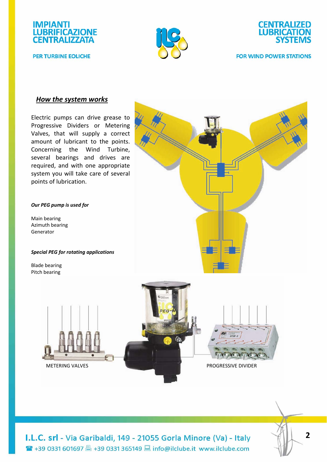

**PER TURBINE EOLICHE** 





#### **FOR WIND POWER STATIONS**

## *How the system works*

Electric pumps can drive grease to Progressive Dividers or Metering Valves, that will supply a correct amount of lubricant to the points. Concerning the Wind Turbine, several bearings and drives are required, and with one appropriate system you will take care of several points of lubrication.

#### *Our PEG pump is used for*

Main bearing Azimuth bearing Generator

*Special PEG for rotating applications*

Blade bearing Pitch bearing



**INTERNATIONAL** 



METERING VALVES **BEERING VALVES BEERING** *PROGRESSIVE DIVIDER* 

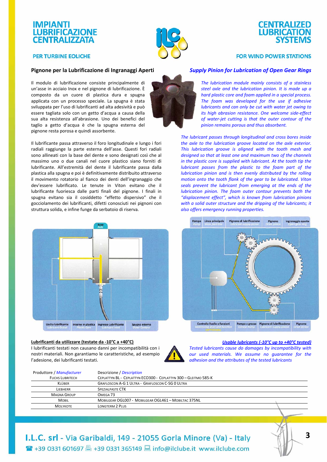## **IMPIANTI LUBRIFICAZIONE CENTRALIZZATA**

**PER TURBINE EOLICHE** 



# **CENTRALIZED LUBRICATION SYSTEMS**

#### **FOR WIND POWER STATIONS**

### **Pignone per la Lubrificazione di Ingranaggi Aperti**

Il modulo di lubrificazione consiste principalmente di un'asse in acciaio Inox e nel pignone di lubrificazione. È composto da un cuore di plastica dura e spugna applicata con un processo speciale. La spugna è stata sviluppata per l'uso di lubrificanti ad alta adesività e può essere tagliata solo con un getto d'acqua a causa della sua alta resistenza all'abrasione. Uno dei benefici del taglio a getto d'acqua è che la spugna esterna del pignone resta porosa e quindi assorbente.

Il lubrificante passa attraverso il foro longitudinale e lungo i fori radiali raggiunge la parte esterna dell'asse. Questi fori radiali sono allineati con la base del dente e sono designati così che al massimo uno o due canali nel cuore plastico siano forniti di lubrificante. All'estremità del dente il lubrificante passa dalla plastica alla spugna e poi è definitivamente distribuito attraverso il movimento rotatorio al fianco dei denti dell'ingranaggio che dev'essere lubrificato. Le tenute in Viton evitano che il lubrificante fuoriesca dalle parti finali del pignone. I finali in spugna evitano sia il cosiddetto "effetto dispersivo" che il gocciolamento dei lubrificanti, difetti conosciuti nei pignoni con struttura solida, e infine funge da serbatoio di riserva.



#### **Lubrificanti da utilizzare (testate da ‐10°C a +40°C)**

I lubrificanti testati non causano danni per incompatibilità con i nostri materiali. Non garantiamo le caratteristiche, ad esempio l'adesione, dei lubrificanti testati.



*Usable lubricants (‐10°C up to +40°C tested) Tested lubricants cause do damages by incompatibility with our used materials. We assume no guarantee for the adhesion and the attributes of the tested lubricants*

| Produttore / Manufacturer | Descrizione / Description                                       |  |
|---------------------------|-----------------------------------------------------------------|--|
| <b>FUCHS LUBRITECH</b>    | CEPLATTYN BL - CEPLATTYN ECO300 - CEPLATTYN 300 - GLEITMO 585-K |  |
| KLÜBER                    | <b>GRAFLOSCON A-G 1 ULTRA - GRAFLOSCON C-SG 0 ULTRA</b>         |  |
| LIFBHERR                  | <b>SPEZIALPASTE CTK</b>                                         |  |
| <b>MAGNA GROUP</b>        | OMEGA <sub>73</sub>                                             |  |
| <b>MOBIL</b>              | MOBILGEAR OGL007 - MOBILGEAR OGL461 - MOBILTAC 375NL            |  |
| <b>MOLYKOTE</b>           | <b>LONGTERM 2 PLUS</b>                                          |  |
|                           |                                                                 |  |



#### *Supply Pinion for Lubrication of Open Gear Rings*

*The lubrication module mainly consists of a stainless steel axle and the lubrication pinion. It is made up a hard plastic core and foam applied in a special process. The foam was developed for the use if adhesive lubricants and can only be cut with water jet owing to its high abrasion resistance. One welcome side‐effect of water‐jet cutting is that the outer contour of the pinion remains porous and thus absorbent.*

*The lubricant passes through longitudinal and cross bores inside the axle to the lubrication groove located on the axle exterior. This lubrication groove is aligned with the tooth mesh and designed so that at least one and maximum two of the channels in the plastic core is supplied with lubricant. At the tooth tip the lubricant passes from the plastic to the foam part of the lubrication pinion and is then evenly distributed by the rolling motion onto the tooth flank of the gear to be lubricated. Viton seals prevent the lubricant from emerging at the ends of the lubrication pinion. The foam outer contour prevents both the "displacement effect", which is known from lubrication pinions with a solid outer structure and the dripping of the lubricants; it also offers emergency running properties.*